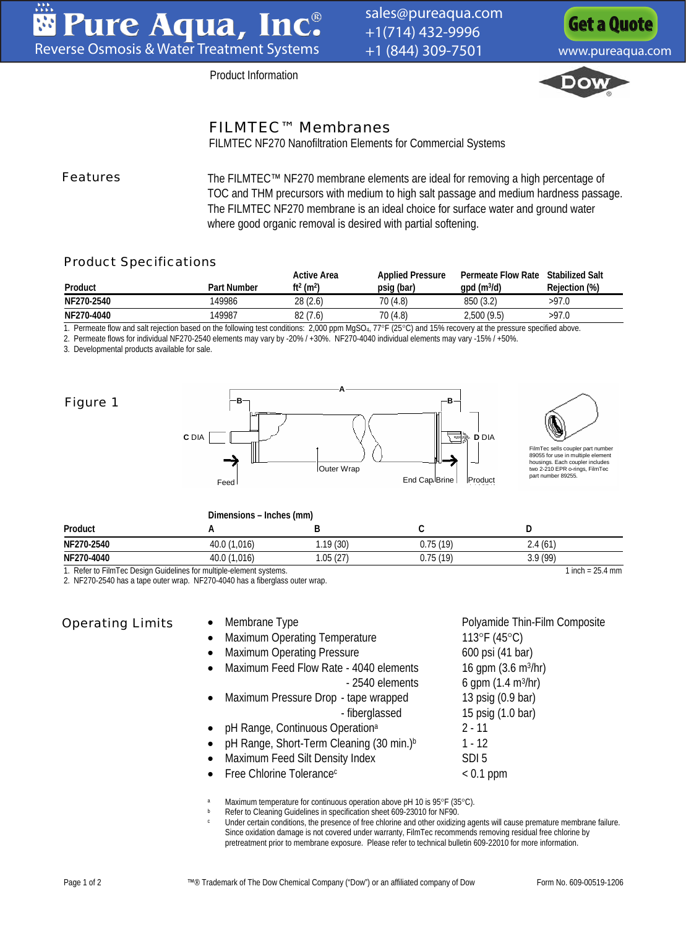[sales@pureaqua.com](mailto:sales@pureaqua.com) +1(714) 432-9996 +1 (844) 309-7501 [www.pureaqua.com](http://www.pureaqua.com/)

**[Get a Quote](http://www.pureaqua.com/get-a-quote/)**

Product Information



## FILMTEC™ Membranes

FILMTEC NF270 Nanofiltration Elements for Commercial Systems

Features The FILMTEC™ NF270 membrane elements are ideal for removing a high percentage of TOC and THM precursors with medium to high salt passage and medium hardness passage. The FILMTEC NF270 membrane is an ideal choice for surface water and ground water where good organic removal is desired with partial softening.

#### Product Specifications

| Product    | <b>Part Number</b> | <b>Active Area</b><br>$ft2$ (m <sup>2</sup> ) | <b>Applied Pressure</b><br>psig (bar) | <b>Permeate Flow Rate</b><br>$gpd$ (m $3/d$ ) | <b>Stabilized Salt</b><br>Rejection (%) |
|------------|--------------------|-----------------------------------------------|---------------------------------------|-----------------------------------------------|-----------------------------------------|
| NF270-2540 | 49986              | 28 (2.6)                                      | 70 (4.8)                              | 850 (3.2)                                     | >97.0                                   |
| NF270-4040 | 49987              | 82(7.6)                                       | 70 (4.8)                              | 2,500(9.5)                                    | >97.0                                   |

1. Permeate flow and salt rejection based on the following test conditions: 2,000 ppm MgSO4, 77°F (25°C) and 15% recovery at the pressure specified above.

2. Permeate flows for individual NF270-2540 elements may vary by -20% / +30%. NF270-4040 individual elements may vary -15% / +50%.

3. Developmental products available for sale.



|            | Dimensions - Inches (mm) |           |          |         |  |
|------------|--------------------------|-----------|----------|---------|--|
| Product    |                          |           |          |         |  |
| NF270-2540 | 40.0 (1,016)             | 1.19 (30) | 0.75(19) | 2.4(61) |  |
| NF270-4040 | 40.0 (1,016)             | .05(27)   | 0.75(19) | 3.9(99) |  |

1. Refer to FilmTec Design Guidelines for multiple-element systems. 1 inch = 25.4 mm

2. NF270-2540 has a tape outer wrap. NF270-4040 has a fiberglass outer wrap.

### Operating Limits

#### • Membrane Type **Polyamide Thin-Film Composite**

- Maximum Operating Temperature 113°F (45°C)
- Maximum Operating Pressure 600 psi (41 bar)
- • Maximum Feed Flow Rate - 4040 elements 16 gpm (3.6 m<sup>3</sup>/hr)  $-2540$  elements 6 gpm  $(1.4 \text{ m}^3/\text{hr})$
- Maximum Pressure Drop - tape wrapped 13 psig (0.9 bar) - fiberglassed 15 psig (1.0 bar)
- pH Range, Continuous Operation<sup>a</sup> 2 - 11
- pH Range, Short-Term Cleaning (30 min.)b 1 - 12
- Maximum Feed Silt Density Index SDI 5
- Free Chlorine Tolerance<sup>c</sup> and the set of the Coll ppm

Maximum temperature for continuous operation above pH 10 is 95°F (35°C).<br>
Refer to Cleaning Guidelines in specification sheet 609-23010 for NF90.<br>
Under certain conditions, the presence of free chlorine and other oxidizing Since oxidation damage is not covered under warranty, FilmTec recommends removing residual free chlorine by pretreatment prior to membrane exposure. Please refer to technical bulletin 609-22010 for more information.